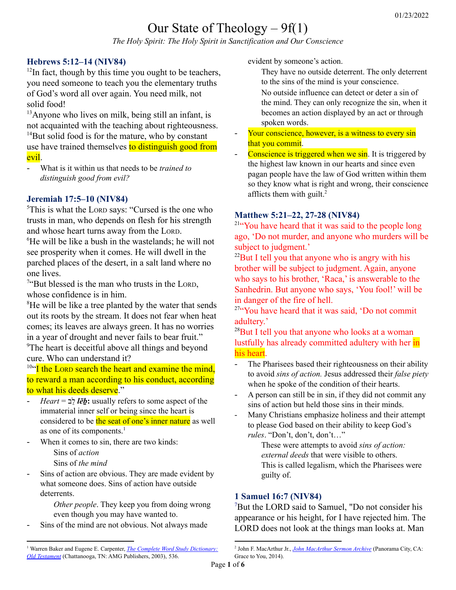# Our State of Theology – 9f(1)

*The Holy Spirit: The Holy Spirit in Sanctification and Our Conscience*

# **Hebrews 5:12–14 (NIV84)**

 $12$ In fact, though by this time you ought to be teachers, you need someone to teach you the elementary truths of God's word all over again. You need milk, not solid food!

<sup>13</sup>Anyone who lives on milk, being still an infant, is not acquainted with the teaching about righteousness.

 $14$ But solid food is for the mature, who by constant use have trained themselves to distinguish good from evil.

- What is it within us that needs to be *trained to distinguish good from evil?*

### **Jeremiah 17:5–10 (NIV84)**

<sup>5</sup>This is what the LORD says: "Cursed is the one who trusts in man, who depends on flesh for his strength and whose heart turns away from the LORD. <sup>6</sup>He will be like a bush in the wastelands; he will not see prosperity when it comes. He will dwell in the parched places of the desert, in a salt land where no one lives.

<sup>7"</sup>But blessed is the man who trusts in the LORD, whose confidence is in him.

<sup>8</sup>He will be like a tree planted by the water that sends out its roots by the stream. It does not fear when heat comes; its leaves are always green. It has no worries in a year of drought and never fails to bear fruit." <sup>9</sup>The heart is deceitful above all things and beyond cure. Who can understand it?

<sup>10"</sup>I the LORD search the heart and examine the mind, to reward a man according to his conduct, according to what his deeds deserve."

- *Heart* = לבֵ *lēḇ***:** usually refers to some aspect of the immaterial inner self or being since the heart is considered to be the seat of one's inner nature as well as one of its components. 1
- When it comes to sin, there are two kinds:

Sins of *action*

Sins of *the mind*

Sins of action are obvious. They are made evident by what someone does. Sins of action have outside deterrents.

> *Other people*. They keep you from doing wrong even though you may have wanted to.

Sins of the mind are not obvious. Not always made

evident by someone's action.

- They have no outside deterrent. The only deterrent to the sins of the mind is your conscience.
- No outside influence can detect or deter a sin of the mind. They can only recognize the sin, when it becomes an action displayed by an act or through spoken words.
- Your conscience, however, is a witness to every sin that you commit.
- Conscience is triggered when we sin. It is triggered by the highest law known in our hearts and since even pagan people have the law of God written within them so they know what is right and wrong, their conscience afflicts them with guilt. 2

## **Matthew 5:21–22, 27-28 (NIV84)**

<sup>21</sup>"You have heard that it was said to the people long ago, 'Do not murder, and anyone who murders will be subject to judgment.'

 $^{22}$ But I tell you that anyone who is angry with his brother will be subject to judgment. Again, anyone who says to his brother, 'Raca,' is answerable to the Sanhedrin. But anyone who says, 'You fool!' will be in danger of the fire of hell.

<sup>27"</sup>You have heard that it was said, 'Do not commit adultery.'

 $^{28}$ But I tell you that anyone who looks at a woman lustfully has already committed adultery with her in his heart.

- The Pharisees based their righteousness on their ability to avoid *sins of action.* Jesus addressed their *false piety* when he spoke of the condition of their hearts.
- A person can still be in sin, if they did not commit any sins of action but held those sins in their minds.
- Many Christians emphasize holiness and their attempt to please God based on their ability to keep God's *rules*. "Don't, don't, don't…"

These were attempts to avoid *sins of action: external deeds* that were visible to others. This is called legalism, which the Pharisees were guilty of.

### **1 Samuel 16:7 (NIV84)**

Grace to You, 2014).

<sup>7</sup>But the LORD said to Samuel, "Do not consider his appearance or his height, for I have rejected him. The LORD does not look at the things man looks at. Man

2 John F. MacArthur Jr., *John [MacArthur](https://ref.ly/logosres/jhnmcrthrsrrchv?art=sermon.1994.5&off=8990&ctx=+have+a+conscience.+~Conscience+is+trigge) Sermon Archive* (Panorama City, CA:

<sup>1</sup> Warren Baker and Eugene E. Carpenter, *The Complete Word Study [Dictionary:](https://ref.ly/logosres/wsotdict?ref=Page.p+536&off=1373&ctx=+%0a3820.+~%D7%9C%D6%B5%D7%91+le%CC%84b%CC%B1%3a+A+masculine+noun+usua) Old [Testament](https://ref.ly/logosres/wsotdict?ref=Page.p+536&off=1373&ctx=+%0a3820.+~%D7%9C%D6%B5%D7%91+le%CC%84b%CC%B1%3a+A+masculine+noun+usua)* (Chattanooga, TN: AMG Publishers, 2003), 536.

Page **1** of **6**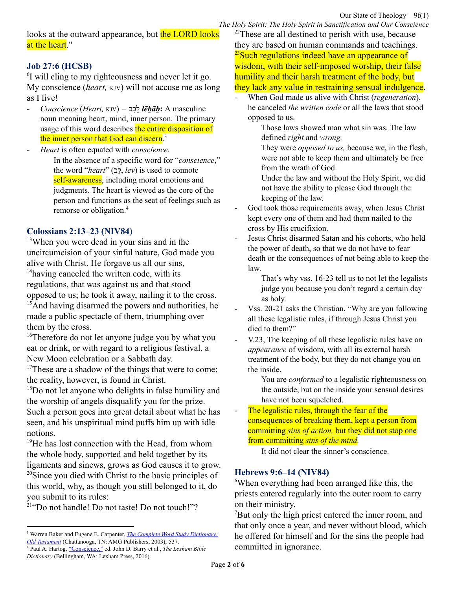looks at the outward appearance, but the LORD looks at the heart."

# **Job 27:6 (HCSB)**

<sup>6</sup>I will cling to my righteousness and never let it go. My conscience (*heart,* KJV) will not accuse me as long as I live!

- *Conscience* (*Heart,* KJV) *=* בבָ לֵ *lēḇāḇ***:** A masculine noun meaning heart, mind, inner person. The primary usage of this word describes the entire disposition of the inner person that God can discern.<sup>3</sup>

- *Heart* is often equated with *conscience.*

In the absence of a specific word for "*conscience*," the word "*heart*" (לבֵ , *lev*) is used to connote self-awareness, including moral emotions and judgments. The heart is viewed as the core of the person and functions as the seat of feelings such as remorse or obligation. 4

# **Colossians 2:13–23 (NIV84)**

<sup>13</sup>When you were dead in your sins and in the uncircumcision of your sinful nature, God made you alive with Christ. He forgave us all our sins, <sup>14</sup>having canceled the written code, with its regulations, that was against us and that stood opposed to us; he took it away, nailing it to the cross.  $<sup>15</sup>$ And having disarmed the powers and authorities, he</sup> made a public spectacle of them, triumphing over them by the cross.

<sup>16</sup>Therefore do not let anyone judge you by what you eat or drink, or with regard to a religious festival, a New Moon celebration or a Sabbath day.

<sup>17</sup>These are a shadow of the things that were to come; the reality, however, is found in Christ.

<sup>18</sup>Do not let anyone who delights in false humility and the worship of angels disqualify you for the prize. Such a person goes into great detail about what he has seen, and his unspiritual mind puffs him up with idle notions.

<sup>19</sup>He has lost connection with the Head, from whom the whole body, supported and held together by its ligaments and sinews, grows as God causes it to grow. <sup>20</sup>Since you died with Christ to the basic principles of this world, why, as though you still belonged to it, do you submit to its rules:

<sup>21"</sup>Do not handle! Do not taste! Do not touch!"?

*Dictionary* (Bellingham, WA: Lexham Press, 2016).

 $22$ These are all destined to perish with use, because they are based on human commands and teachings. <sup>23</sup>Such regulations indeed have an appearance of wisdom, with their self-imposed worship, their false humility and their harsh treatment of the body, but they lack any value in restraining sensual indulgence.

- When God made us alive with Christ (*regeneration*), he canceled *the written code* or all the laws that stood opposed to us.

> Those laws showed man what sin was. The law defined *right* and *wrong.*

They were *opposed to us,* because we, in the flesh, were not able to keep them and ultimately be free from the wrath of God.

Under the law and without the Holy Spirit, we did not have the ability to please God through the keeping of the law.

- God took those requirements away, when Jesus Christ kept every one of them and had them nailed to the cross by His crucifixion.
- Jesus Christ disarmed Satan and his cohorts, who held the power of death, so that we do not have to fear death or the consequences of not being able to keep the law.

That's why vss. 16-23 tell us to not let the legalists judge you because you don't regard a certain day as holy.

- Vss. 20-21 asks the Christian, "Why are you following" all these legalistic rules, if through Jesus Christ you died to them?"
- V.23, The keeping of all these legalistic rules have an *appearance* of wisdom, with all its external harsh treatment of the body, but they do not change you on the inside.

You are *conformed* to a legalistic righteousness on the outside, but on the inside your sensual desires have not been squelched.

The legalistic rules, through the fear of the consequences of breaking them, kept a person from committing *sins of action,* but they did not stop one from committing *sins of the mind.*

It did not clear the sinner's conscience.

# **Hebrews 9:6–14 (NIV84)**

<sup>6</sup>When everything had been arranged like this, the priests entered regularly into the outer room to carry on their ministry.

<sup>7</sup>But only the high priest entered the inner room, and that only once a year, and never without blood, which he offered for himself and for the sins the people had committed in ignorance.

<sup>4</sup> Paul A. Hartog, ["Conscience,"](https://ref.ly/logosres/lbd?art=conscience&off=1955&ctx=+Prophets%2c%E2%80%9D+50%E2%80%9352).+~In+the+absence+of+a+) ed. John D. Barry et al., *The Lexham Bible* <sup>3</sup> Warren Baker and Eugene E. Carpenter, *The Complete Word Study [Dictionary:](https://ref.ly/logosres/wsotdict?ref=Page.p+537&off=469&ctx=+%0a3824.+~%D7%9C%D6%B5%D7%91%D6%B8%D7%91+le%CC%84b%CC%B1a%CC%84b%CC%B1%3a+A+masculine+nou) Old [Testament](https://ref.ly/logosres/wsotdict?ref=Page.p+537&off=469&ctx=+%0a3824.+~%D7%9C%D6%B5%D7%91%D6%B8%D7%91+le%CC%84b%CC%B1a%CC%84b%CC%B1%3a+A+masculine+nou)* (Chattanooga, TN: AMG Publishers, 2003), 537.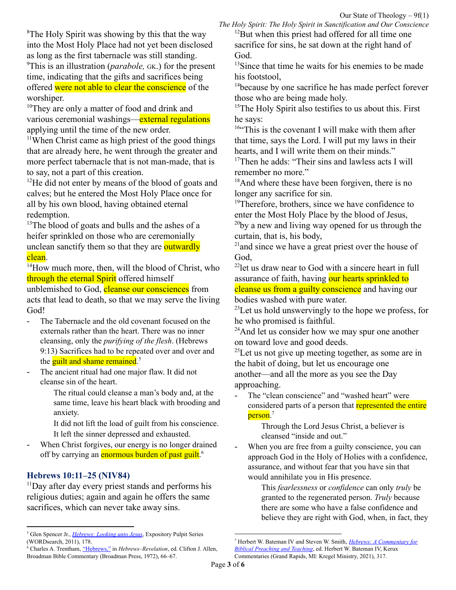<sup>8</sup>The Holy Spirit was showing by this that the way into the Most Holy Place had not yet been disclosed as long as the first tabernacle was still standing. <sup>9</sup>This is an illustration (*parabole,* GK.) for the present time, indicating that the gifts and sacrifices being offered were not able to clear the conscience of the worshiper.

<sup>10</sup>They are only a matter of food and drink and various ceremonial washings—external regulations applying until the time of the new order.

<sup>11</sup>When Christ came as high priest of the good things that are already here, he went through the greater and more perfect tabernacle that is not man-made, that is to say, not a part of this creation.

 $12$ He did not enter by means of the blood of goats and calves; but he entered the Most Holy Place once for all by his own blood, having obtained eternal redemption.

 $13$ The blood of goats and bulls and the ashes of a heifer sprinkled on those who are ceremonially unclean sanctify them so that they are outwardly clean.

<sup>14</sup>How much more, then, will the blood of Christ, who through the eternal Spirit offered himself

unblemished to God, cleanse our consciences from acts that lead to death, so that we may serve the living God!

- The Tabernacle and the old covenant focused on the externals rather than the heart. There was no inner cleansing, only the *purifying of the flesh*. (Hebrews 9:13) Sacrifices had to be repeated over and over and the **guilt and shame remained**.<sup>5</sup>
- The ancient ritual had one major flaw. It did not cleanse sin of the heart.

The ritual could cleanse a man's body and, at the same time, leave his heart black with brooding and anxiety.

It did not lift the load of guilt from his conscience. It left the sinner depressed and exhausted.

- When Christ forgives, our energy is no longer drained off by carrying an *enormous burden of past guilt.*<sup>6</sup>

# **Hebrews 10:11–25 (NIV84)**

 $11$ Day after day every priest stands and performs his religious duties; again and again he offers the same sacrifices, which can never take away sins.

*The Holy Spirit: The Holy Spirit in Sanctification and Our Conscience*  $12$ But when this priest had offered for all time one sacrifice for sins, he sat down at the right hand of God.

 $13$ Since that time he waits for his enemies to be made his footstool,

<sup>14</sup>because by one sacrifice he has made perfect forever those who are being made holy.

<sup>15</sup>The Holy Spirit also testifies to us about this. First he says:

<sup>16"</sup>This is the covenant I will make with them after that time, says the Lord. I will put my laws in their hearts, and I will write them on their minds."

<sup>17</sup>Then he adds: "Their sins and lawless acts I will remember no more."

 $18$ And where these have been forgiven, there is no longer any sacrifice for sin.

<sup>19</sup>Therefore, brothers, since we have confidence to enter the Most Holy Place by the blood of Jesus,

 $^{20}$ by a new and living way opened for us through the curtain, that is, his body,

<sup>21</sup> and since we have a great priest over the house of God,

<sup>22</sup>let us draw near to God with a sincere heart in full assurance of faith, having our hearts sprinkled to cleanse us from a guilty conscience and having our bodies washed with pure water.

 $^{23}$ Let us hold unswervingly to the hope we profess, for he who promised is faithful.

<sup>24</sup>And let us consider how we may spur one another on toward love and good deeds.

 $^{25}$ Let us not give up meeting together, as some are in the habit of doing, but let us encourage one another—and all the more as you see the Day approaching.

- The "clean conscience" and "washed heart" were considered parts of a person that represented the entire person. 7

> Through the Lord Jesus Christ, a believer is cleansed "inside and out."

When you are free from a guilty conscience, you can approach God in the Holy of Holies with a confidence, assurance, and without fear that you have sin that would annihilate you in His presence.

> This *fearlessness* or *confidence* can only *truly* be granted to the regenerated person. *Truly* because there are some who have a false confidence and believe they are right with God, when, in fact, they

<sup>5</sup> Glen Spencer Jr., *[Hebrews:](https://ref.ly/logosres/ws-0551513cb5594a77a3fd7d7487e335bc?ref=Bible.Heb9.9-10&off=818&ctx=ence.+(Hebrews+9%3a9)+~The+Tabernacle+and+t) Looking unto Jesus*, Expository Pulpit Series (WORDsearch, 2011), 178.

<sup>6</sup> Charles A. Trentham, ["Hebrews,"](https://ref.ly/logosres/ws-1b76c1b21d35418dabaa9e3a6a2324c0?ref=Bible.Heb9.12-23&off=4081&ctx=rve+the+living+God.+~The+ancient+ritual+h) in *Hebrews–Revelation*, ed. Clifton J. Allen, Broadman Bible Commentary (Broadman Press, 1972), 66–67.

<sup>7</sup> Herbert W. Bateman IV and Steven W. Smith, *Hebrews: A [Commentary](https://ref.ly/logosres/cbpt79heb?ref=Bible.Heb10.22&off=858&ctx=tchell%2c+2001%2c+211).+~The+reason+(%E1%BC%80%CF%80%E1%BD%B9%2c+%E2%80%9Cbe) for Biblical [Preaching](https://ref.ly/logosres/cbpt79heb?ref=Bible.Heb10.22&off=858&ctx=tchell%2c+2001%2c+211).+~The+reason+(%E1%BC%80%CF%80%E1%BD%B9%2c+%E2%80%9Cbe) and Teaching*, ed. Herbert W. Bateman IV, Kerux Commentaries (Grand Rapids, MI: Kregel Ministry, 2021), 317.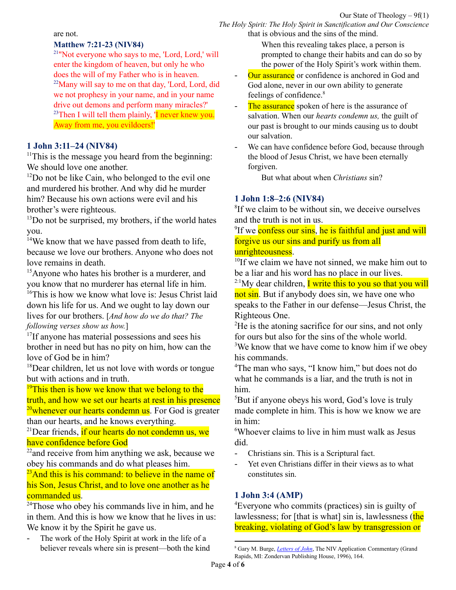*The Holy Spirit: The Holy Spirit in Sanctification and Our Conscience* that is obvious and the sins of the mind.

are not.

#### **Matthew 7:21-23 (NIV84)**

<sup>21</sup>"Not everyone who says to me, 'Lord, Lord,' will enter the kingdom of heaven, but only he who does the will of my Father who is in heaven.  $22$ Many will say to me on that day, 'Lord, Lord, did we not prophesy in your name, and in your name drive out demons and perform many miracles?' <sup>23</sup>Then I will tell them plainly, 'I never knew you. Away from me, you evildoers!'

#### **1 John 3:11–24 (NIV84)**

 $11$ This is the message you heard from the beginning: We should love one another.

 $12$ Do not be like Cain, who belonged to the evil one and murdered his brother. And why did he murder him? Because his own actions were evil and his brother's were righteous.

 $13$ Do not be surprised, my brothers, if the world hates you.

<sup>14</sup>We know that we have passed from death to life, because we love our brothers. Anyone who does not love remains in death.

<sup>15</sup>Anyone who hates his brother is a murderer, and you know that no murderer has eternal life in him.

<sup>16</sup>This is how we know what love is: Jesus Christ laid down his life for us. And we ought to lay down our lives for our brothers. [*And how do we do that? The following verses show us how.*]

<sup>17</sup>If anyone has material possessions and sees his brother in need but has no pity on him, how can the love of God be in him?

<sup>18</sup>Dear children, let us not love with words or tongue but with actions and in truth.

<sup>19</sup>This then is how we know that we belong to the truth, and how we set our hearts at rest in his presence <sup>20</sup>whenever our hearts condemn us. For God is greater than our hearts, and he knows everything.

 $^{21}$ Dear friends, if our hearts do not condemn us, we have confidence before God

 $22$  and receive from him anything we ask, because we obey his commands and do what pleases him.

<sup>23</sup>And this is his command: to believe in the name of his Son, Jesus Christ, and to love one another as he <mark>commanded us</mark>.

 $24$ Those who obey his commands live in him, and he in them. And this is how we know that he lives in us: We know it by the Spirit he gave us.

- The work of the Holy Spirit at work in the life of a believer reveals where sin is present—both the kind When this revealing takes place, a person is prompted to change their habits and can do so by the power of the Holy Spirit's work within them.

- Our assurance or confidence is anchored in God and God alone, never in our own ability to generate feelings of confidence. 8
- The assurance spoken of here is the assurance of salvation. When our *hearts condemn us,* the guilt of our past is brought to our minds causing us to doubt our salvation.
- We can have confidence before God, because through the blood of Jesus Christ, we have been eternally forgiven.

But what about when *Christians* sin?

## **1 John 1:8–2:6 (NIV84)**

<sup>8</sup>If we claim to be without sin, we deceive ourselves and the truth is not in us.

<sup>9</sup>If we confess our sins, he is faithful and just and will forgive us our sins and purify us from all unrighteousness.

<sup>10</sup>If we claim we have not sinned, we make him out to be a liar and his word has no place in our lives.

<sup>2:1</sup>My dear children, **I** write this to you so that you will not sin. But if anybody does sin, we have one who speaks to the Father in our defense—Jesus Christ, the Righteous One.

<sup>2</sup>He is the atoning sacrifice for our sins, and not only for ours but also for the sins of the whole world.

<sup>3</sup>We know that we have come to know him if we obey his commands.

<sup>4</sup>The man who says, "I know him," but does not do what he commands is a liar, and the truth is not in him.

<sup>5</sup>But if anyone obeys his word, God's love is truly made complete in him. This is how we know we are in him:

<sup>6</sup>Whoever claims to live in him must walk as Jesus did.

- Christians sin. This is a Scriptural fact.
- Yet even Christians differ in their views as to what constitutes sin.

### **1 John 3:4 (AMP)**

<sup>4</sup>Everyone who commits (practices) sin is guilty of lawlessness; for [that is what] sin is, lawlessness (the breaking, violating of God's law by transgression or

<sup>8</sup> Gary M. Burge, *[Letters](https://ref.ly/logosres/nivac83jn1?ref=Bible.1Jn3.19-24&off=1423&ctx=ase+in+this+manner%3a%0a~19a%3a%0a%E2%80%9CIn+this+%5bthe+l) of John*, The NIV Application Commentary (Grand Rapids, MI: Zondervan Publishing House, 1996), 164.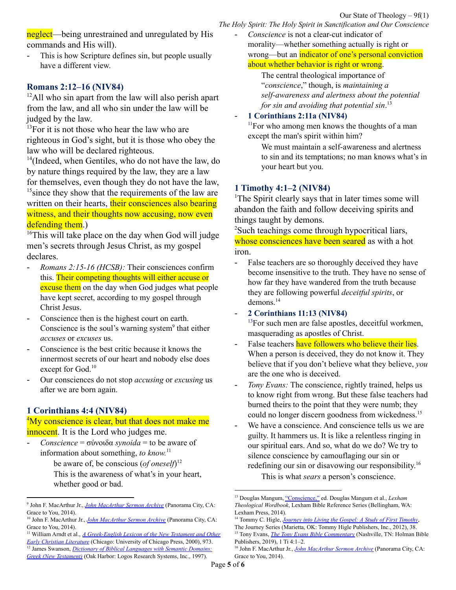neglect—being unrestrained and unregulated by His commands and His will).

This is how Scripture defines sin, but people usually have a different view.

# **Romans 2:12–16 (NIV84)**

 $12$ All who sin apart from the law will also perish apart from the law, and all who sin under the law will be judged by the law.

 $13$ For it is not those who hear the law who are righteous in God's sight, but it is those who obey the law who will be declared righteous.

<sup>14</sup>(Indeed, when Gentiles, who do not have the law, do by nature things required by the law, they are a law for themselves, even though they do not have the law, <sup>15</sup> since they show that the requirements of the law are written on their hearts, their consciences also bearing witness, and their thoughts now accusing, now even defending them.)

<sup>16</sup>This will take place on the day when God will judge men's secrets through Jesus Christ, as my gospel declares.

- *Romans 2:15-16 (HCSB):* Their consciences confirm this. Their competing thoughts will either accuse or excuse them on the day when God judges what people have kept secret, according to my gospel through Christ Jesus.
- Conscience then is the highest court on earth. Conscience is the soul's warning system<sup>9</sup> that either *accuses* or *excuses* us.
- Conscience is the best critic because it knows the innermost secrets of our heart and nobody else does except for God.<sup>10</sup>
- Our consciences do not stop *accusing* or *excusing* us after we are born again.

# **1 Corinthians 4:4 (NIV84)**

## <sup>4</sup>My conscience is clear, but that does not make me **innocent**. It is the Lord who judges me.

- *Conscience* = σύνοιδα *synoida* = to be aware of information about something, *to know.* 11

be aware of, be conscious (*of oneself*) 12 This is the awareness of what's in your heart, whether good or bad.

- *Conscience* is not a clear-cut indicator of morality—whether something actually is right or wrong—but an indicator of one's personal conviction about whether behavior is right or wrong.

The central theological importance of "*conscience*," though, is *maintaining a self-awareness and alertness about the potential for sin and avoiding that potential sin*. 13

# - **1 Corinthians 2:11a (NIV84)**

 $11$ For who among men knows the thoughts of a man except the man's spirit within him?

We must maintain a self-awareness and alertness to sin and its temptations; no man knows what's in your heart but you.

# **1 Timothy 4:1–2 (NIV84)**

<sup>1</sup>The Spirit clearly says that in later times some will abandon the faith and follow deceiving spirits and things taught by demons.

<sup>2</sup>Such teachings come through hypocritical liars, whose consciences have been seared as with a hot iron.

- False teachers are so thoroughly deceived they have become insensitive to the truth. They have no sense of how far they have wandered from the truth because they are following powerful *deceitful spirits*, or demons. 14
- **2 Corinthians 11:13 (NIV84)**

 $13$ For such men are false apostles, deceitful workmen, masquerading as apostles of Christ.

- False teachers have followers who believe their lies. When a person is deceived, they do not know it. They believe that if you don't believe what they believe, *you* are the one who is deceived.
- *Tony Evans:* The conscience, rightly trained, helps us to know right from wrong. But these false teachers had burned theirs to the point that they were numb; they could no longer discern goodness from wickedness. 15
- We have a conscience. And conscience tells us we are guilty. It hammers us. It is like a relentless ringing in our spiritual ears. And so, what do we do? We try to silence conscience by camouflaging our sin or redefining our sin or disavowing our responsibility.<sup>16</sup>

This is what *sears* a person's conscience.

<sup>9</sup> John F. MacArthur Jr., *John [MacArthur](https://ref.ly/logosres/jhnmcrthrsrrchv?art=sermon.1994.5&off=1876&ctx=rd+the+Corinthians.%0a~Conscience+then+is+t) Sermon Archive* (Panorama City, CA: Grace to You, 2014).

<sup>10</sup> John F. MacArthur Jr., *John [MacArthur](https://ref.ly/logosres/jhnmcrthrsrrchv?art=sermon.1994.5&off=2225&ctx=icked.+And+frankly%2c+~conscience+is+the+be) Sermon Archive* (Panorama City, CA: Grace to You, 2014).

<sup>12</sup> James Swanson, *Dictionary of Biblical [Languages](https://ref.ly/logosres/dblgreek?ref=DBLGreek.DBLG+5323%2c+%231&off=11&ctx=Str+4894%E2%80%941.+LN+28.4+~be+aware+of%2c+be+cons) with Semantic Domains: Greek (New [Testament\)](https://ref.ly/logosres/dblgreek?ref=DBLGreek.DBLG+5323%2c+%231&off=11&ctx=Str+4894%E2%80%941.+LN+28.4+~be+aware+of%2c+be+cons)* (Oak Harbor: Logos Research Systems, Inc., 1997). <sup>11</sup> William Arndt et al., *A [Greek-English](https://ref.ly/logosres/bdag?ref=Page.p+973&off=5130&ctx=+%CE%BC%CE%BF%CC%81%CE%BD%CE%B7%3b+16%2c+330).%0a%E2%91%A1+~to+be+aware+of+infor) Lexicon of the New Testament and Other Early Christian [Literature](https://ref.ly/logosres/bdag?ref=Page.p+973&off=5130&ctx=+%CE%BC%CE%BF%CC%81%CE%BD%CE%B7%3b+16%2c+330).%0a%E2%91%A1+~to+be+aware+of+infor)* (Chicago: University of Chicago Press, 2000), 973.

<sup>13</sup> Douglas Mangum, ["Conscience,"](https://ref.ly/logosres/lxtheowrdbk?art=art197&off=903&ctx=%CE%B7%CF%83%CE%B9%CF%82+%5bsyneid%C4%93sis%5d.)%0a~Conscience+is+not+a+) ed. Douglas Mangum et al., *Lexham Theological Wordbook*, Lexham Bible Reference Series (Bellingham, WA: Lexham Press, 2014).

<sup>14</sup> Tommy C. Higle, *[Journey](https://ref.ly/logosres/jrnylvn131tmthy?ref=Bible.1Ti4.2b&off=171&ctx=ender+insensitive.%E2%80%9D+~False+teachers+are+s) into Living the Gospel: A Study of First Timothy*,

<sup>15</sup> Tony Evans, *The Tony Evans Bible [Commentary](https://ref.ly/logosres/9780805499438?ref=Bible.1Ti4.1-2&off=271&ctx=s+are+seared+(4%3a2).+~The+conscience%2c+righ)* (Nashville, TN: Holman Bible Publishers, 2019), 1 Ti 4:1–2. The Journey Series (Marietta, OK: Tommy Higle Publishers, Inc., 2012), 38.

<sup>16</sup> John F. MacArthur Jr., *John [MacArthur](https://ref.ly/logosres/jhnmcrthrsrrchv?art=sermon.1994.5&off=5131&ctx=+we+have+a+problem.+~We+have+a+conscience) Sermon Archive* (Panorama City, CA: Grace to You, 2014).